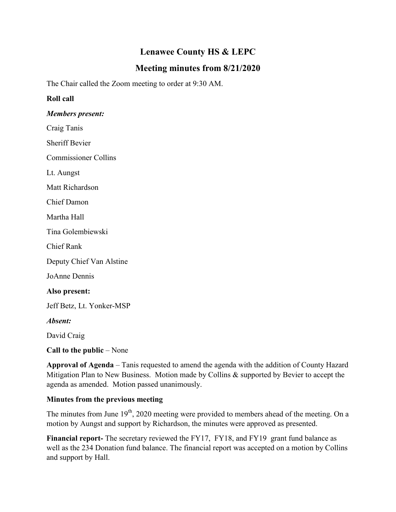# **Lenawee County HS & LEPC**

# **Meeting minutes from 8/21/2020**

The Chair called the Zoom meeting to order at 9:30 AM.

### **Roll call**

#### *Members present:*

Craig Tanis

Sheriff Bevier

Commissioner Collins

Lt. Aungst

Matt Richardson

Chief Damon

Martha Hall

Tina Golembiewski

Chief Rank

Deputy Chief Van Alstine

JoAnne Dennis

#### **Also present:**

Jeff Betz, Lt. Yonker-MSP

*Absent:*

David Craig

**Call to the public** – None

**Approval of Agenda** – Tanis requested to amend the agenda with the addition of County Hazard Mitigation Plan to New Business. Motion made by Collins & supported by Bevier to accept the agenda as amended. Motion passed unanimously.

#### **Minutes from the previous meeting**

The minutes from June  $19<sup>th</sup>$ , 2020 meeting were provided to members ahead of the meeting. On a motion by Aungst and support by Richardson, the minutes were approved as presented.

**Financial report-** The secretary reviewed the FY17, FY18, and FY19 grant fund balance as well as the 234 Donation fund balance. The financial report was accepted on a motion by Collins and support by Hall.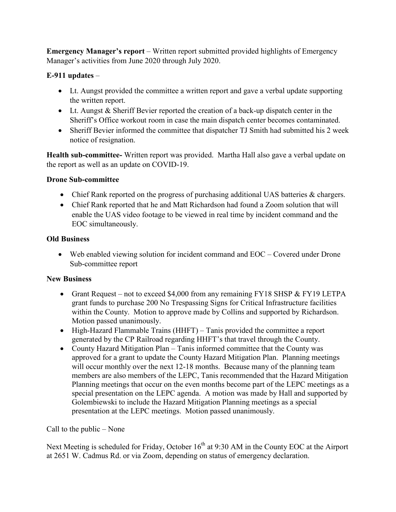**Emergency Manager's report** – Written report submitted provided highlights of Emergency Manager's activities from June 2020 through July 2020.

# **E-911 updates** –

- Lt. Aungst provided the committee a written report and gave a verbal update supporting the written report.
- Lt. Aungst & Sheriff Bevier reported the creation of a back-up dispatch center in the Sheriff's Office workout room in case the main dispatch center becomes contaminated.
- Sheriff Bevier informed the committee that dispatcher TJ Smith had submitted his 2 week notice of resignation.

**Health sub-committee-** Written report was provided. Martha Hall also gave a verbal update on the report as well as an update on COVID-19.

### **Drone Sub-committee**

- Chief Rank reported on the progress of purchasing additional UAS batteries & chargers.
- Chief Rank reported that he and Matt Richardson had found a Zoom solution that will enable the UAS video footage to be viewed in real time by incident command and the EOC simultaneously.

### **Old Business**

 Web enabled viewing solution for incident command and EOC – Covered under Drone Sub-committee report

## **New Business**

- Grant Request not to exceed \$4,000 from any remaining FY18 SHSP & FY19 LETPA grant funds to purchase 200 No Trespassing Signs for Critical Infrastructure facilities within the County. Motion to approve made by Collins and supported by Richardson. Motion passed unanimously.
- High-Hazard Flammable Trains (HHFT) Tanis provided the committee a report generated by the CP Railroad regarding HHFT's that travel through the County.
- County Hazard Mitigation Plan Tanis informed committee that the County was approved for a grant to update the County Hazard Mitigation Plan. Planning meetings will occur monthly over the next 12-18 months. Because many of the planning team members are also members of the LEPC, Tanis recommended that the Hazard Mitigation Planning meetings that occur on the even months become part of the LEPC meetings as a special presentation on the LEPC agenda. A motion was made by Hall and supported by Golembiewski to include the Hazard Mitigation Planning meetings as a special presentation at the LEPC meetings. Motion passed unanimously.

## Call to the public – None

Next Meeting is scheduled for Friday, October 16<sup>th</sup> at 9:30 AM in the County EOC at the Airport at 2651 W. Cadmus Rd. or via Zoom, depending on status of emergency declaration.